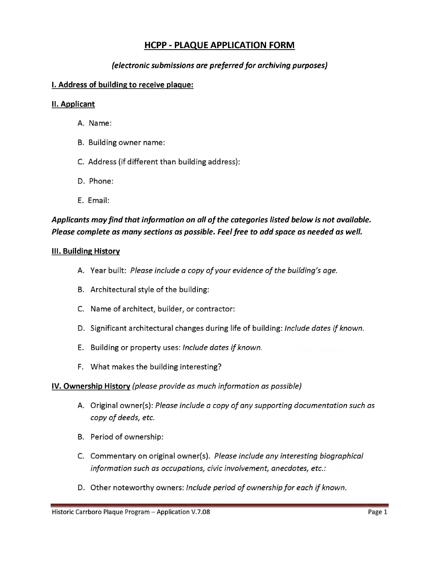# **HCPP- PLAQUE APPLICATION FORM**

# *(electronic submissions are preferred for archiving purposes)*

### **I. Address of building to receive plague:**

#### **II. Applicant**

- A. Name:
- B. Building owner name:
- C. Address (if different than building address):
- D. Phone:
- E. Email:

# *Applicants may find that information on all of the categories listed below is not available. Please complete as many sections as possible. Feel free to add space as needed as well.*

#### **Ill. Building History**

- A. Year built: *Please include a copy of your evidence of the building's age.*
- B. Architectural style of the building:
- C. Name of architect, builder, or contractor:
- D. Significant architectural changes during life of building: *Include dates if known.*
- E. Building or property uses: *Include dates if known.*
- F. What makes the building interesting?

### **IV. Ownership History** *(please provide as much information as possible)*

- A. Original owner(s): *Please include a copy of any supporting documentation such as copy of deeds, etc.*
- B. Period of ownership:
- C. Commentary on original owner(s). *Please include any interesting biographical information such as occupations, civic involvement, anecdotes, etc.:*
- D. Other noteworthy owners: *Include period of ownership for each if known.*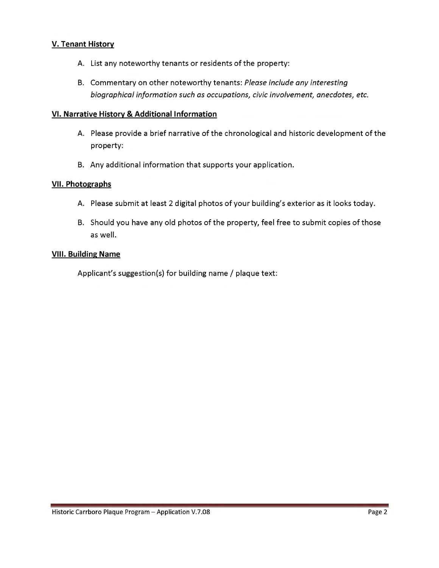# **V. Tenant History**

- A. List any noteworthy tenants or residents of the property:
- B. Commentary on other noteworthy tenants: *Please include any interesting biographical information such as occupations, civic involvement, anecdotes, etc.*

### **VI. Narrative History & Additional Information**

- A. Please provide a brief narrative of the chronological and historic development of the property:
- B. Any additional information that supports your application.

### **VII. Photographs**

- A. Please submit at least 2 digital photos of your building's exterior as it looks today.
- B. Should you have any old photos of the property, feel free to submit copies of those as well.

### **VIII. Building Name**

Applicant's suggestion(s) for building name/ plaque text: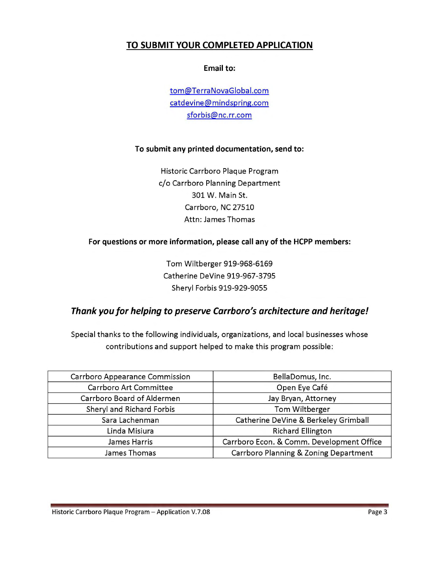# **TO SUBMIT YOUR COMPLETED APPLICATION**

### **Email to:**

tom@TerraNovaGlobal.com catdevine@mindspring.com sforbis@nc.rr.com

### **To submit any printed documentation, send to:**

Historic Carrboro Plaque Program c/o Carrboro Planning Department 301 W. Main St. Carrboro, NC 27510 Attn: James Thomas

### **For questions or more information, please call any of the HCPP members:**

Tom Wiltberger 919-968-6169 Catherine DeVine 919-967-3795 Sheryl Forbis 919-929-9055

# **Thank you for helping to preserve Carrboro's architecture and heritage!**

Special thanks to the following individuals, organizations, and local businesses whose contributions and support helped to make this program possible:

| <b>Carrboro Appearance Commission</b> | BellaDomus, Inc.                          |
|---------------------------------------|-------------------------------------------|
| Carrboro Art Committee                | Open Eye Café                             |
| Carrboro Board of Aldermen            | Jay Bryan, Attorney                       |
| Sheryl and Richard Forbis             | Tom Wiltberger                            |
| Sara Lachenman                        | Catherine DeVine & Berkeley Grimball      |
| Linda Misiura                         | <b>Richard Ellington</b>                  |
| James Harris                          | Carrboro Econ. & Comm. Development Office |
| James Thomas                          | Carrboro Planning & Zoning Department     |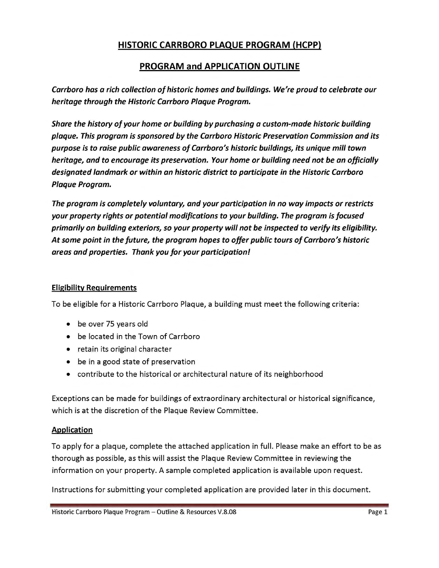# HISTORIC CARRBORO PLAQUE PROGRAM (HCPP)

# PROGRAM and APPLICATION OUTLINE

Carrboro has a rich collection of historic homes and buildings. We're proud to celebrate our heritage through the Historic Carrboro Plaque Program.

Share the history of your home or building by purchasing a custom-made historic building plaque. This program is sponsored by the Carrboro Historic Preservation Commission and its purpose is to raise public awareness of Carrboro's historic buildings, its unique mill town heritage, and to encourage its preservation. Your home or building need not be an officially designated landmark or within an historic district to participate in the Historic Carrboro Plaque Program.

The program is completely voluntary, and your participation in no way impacts or restricts your property rights or potential modifications to your building. The program is focused primarily on building exteriors, so your property will not be inspected to verify its eligibility. At some point in the future, the program hopes to offer public tours of Carrboro's historic areas and properties. Thank you for your participation!

# Eligibility Requirements

To be eligible for a Historic Carrboro Plaque, a building must meet the following criteria:

- be over 75 years old
- be located in the Town of Carrboro
- retain its original character
- be in a good state of preservation
- contribute to the historical or architectural nature of its neighborhood

Exceptions can be made for buildings of extraordinary architectural or historical significance, which is at the discretion of the Plaque Review Committee.

### **Application**

To apply for a plaque, complete the attached application in full. Please make an effort to be as thorough as possible, as this will assist the Plaque Review Committee in reviewing the information on your property. A sample completed application is available upon request.

Instructions for submitting your completed application are provided later in this document.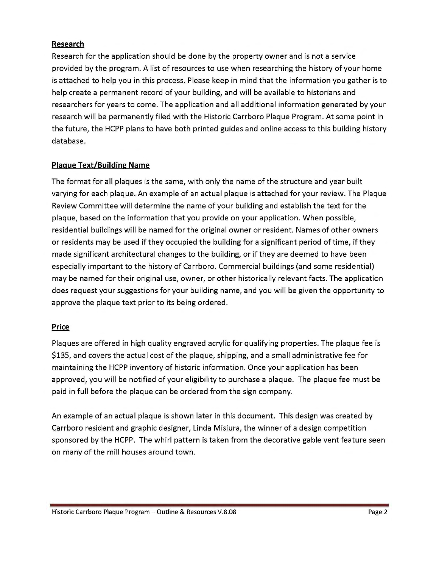# **Research**

Research for the application should be done by the property owner and is not a service provided by the program. A list of resources to use when researching the history of your home is attached to help you in this process. Please keep in mind that the information you gather is to help create a permanent record of your building, and will be available to historians and researchers for years to come. The application and all additional information generated by your research will be permanently filed with the Historic Carrboro Plaque Program. At some point in the future, the HCPP plans to have both printed guides and online access to this building history database.

# **Plague Text/Building Name**

The format for all plaques is the same, with only the name of the structure and year built varying for each plaque. An example of an actual plaque is attached for your review. The Plaque Review Committee will determine the name of your building and establish the text for the plaque, based on the information that you provide on your application. When possible, residential buildings will be named for the original owner or resident. Names of other owners or residents may be used if they occupied the building for a significant period of time, if they made significant architectural changes to the building, or if they are deemed to have been especially important to the history of Carrboro. Commercial buildings (and some residential) may be named for their original use, owner, or other historically relevant facts. The application does request your suggestions for your building name, and you will be given the opportunity to approve the plaque text prior to its being ordered.

### **Price**

Plaques are offered in high quality engraved acrylic for qualifying properties. The plaque fee is \$135, and covers the actual cost of the plaque, shipping, and a small administrative fee for maintaining the HCPP inventory of historic information. Once your application has been approved, you will be notified of your eligibility to purchase a plaque. The plaque fee must be paid in full before the plaque can be ordered from the sign company.

An example of an actual plaque is shown later in this document. This design was created by Carrboro resident and graphic designer, Linda Misiura, the winner of a design competition sponsored by the HCPP. The whirl pattern is taken from the decorative gable vent feature seen on many of the mill houses around town.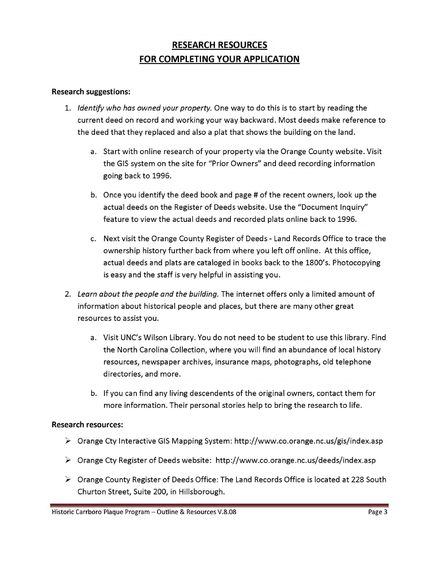# **RESEARCH RESOURCES FOR COMPLETING YOUR APPLICATION**

### **Research suggestions:**

- 1. *Identify who has owned your property.* One way to do this is to start by reading the current deed on record and working your way backward. Most deeds make reference to the deed that they replaced and also a plat that shows the building on the land.
	- a. Start with online research of your property via the Orange County website. Visit the GIS system on the site for "Prior Owners" and deed recording information going back to 1996.
	- b. Once you identify the deed book and page # of the recent owners, look up the actual deeds on the Register of Deeds website. Use the "Document Inquiry" feature to view the actual deeds and recorded plats online back to 1996.
	- c. Next visit the Orange County Register of Deeds Land Records Office to trace the ownership history further back from where you left off online. At this office, actual deeds and plats are cataloged in books back to the 1800's. Photocopying is easy and the staff is very helpful in assisting you.
- 2. *Learn about the people and the building.* The internet offers only a limited amount of information about historical people and places, but there are many other great resources to assist you.
	- a. Visit UNC's Wilson Library. You do not need to be student to use this library. Find the North Carolina Collection, where you will find an abundance of local history resources, newspaper archives, insurance maps, photographs, old telephone directories, and more.
	- b. If you can find any living descendents of the original owners, contact them for more information. Their personal stories help to bring the research to life.

### **Research resources:**

- "' Orange Cty Interactive GIS Mapping System: http://www.co.orange.nc.us/gis/index.asp
- "' Orange Cty Register of Deeds website: http://www.co.orange.nc.us/deeds/index.asp
- $\triangleright$  Orange County Register of Deeds Office: The Land Records Office is located at 228 South Churton Street, Suite 200, in Hillsborough.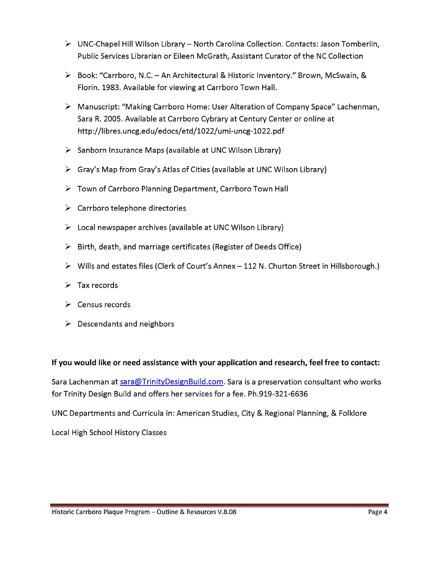- $\triangleright$  UNC-Chapel Hill Wilson Library North Carolina Collection. Contacts: Jason Tomberlin, Public Services Librarian or Eileen McGrath, Assistant Curator of the NC Collection
- $\triangleright$  Book: "Carrboro, N.C. An Architectural & Historic Inventory." Brown, McSwain, & Florin. 1983. Available for viewing at Carrboro Town Hall.
- ▶ Manuscript: "Making Carrboro Home: User Alteration of Company Space" Lachenman, Sara R. 2005. Available at Carrboro Cybrary at Century Center or online at http://libres.uncg.edu/edocs/etd/1022/umi-uncg-1022.pdf
- $\triangleright$  Sanborn Insurance Maps (available at UNC Wilson Library)
- $\triangleright$  Gray's Map from Gray's Atlas of Cities (available at UNC Wilson Library)
- $\triangleright$  Town of Carrboro Planning Department, Carrboro Town Hall
- $\triangleright$  Carrboro telephone directories
- $\triangleright$  Local newspaper archives (available at UNC Wilson Library)
- $\triangleright$  Birth, death, and marriage certificates (Register of Deeds Office)
- $\triangleright$  Wills and estates files (Clerk of Court's Annex 112 N. Churton Street in Hillsborough.)
- $\triangleright$  Tax records
- $\triangleright$  Census records
- $\triangleright$  Descendants and neighbors

# **If you would like or need assistance with your application and research, feel free to contact:**

Sara Lachenman at sara@TrinityDesignBuild.com. Sara is a preservation consultant who works for Trinity Design Build and offers her services for a fee. Ph.919-321-6636

UNC Departments and Curricula in: American Studies, City & Regional Planning, & Folklore

Local High School History Classes